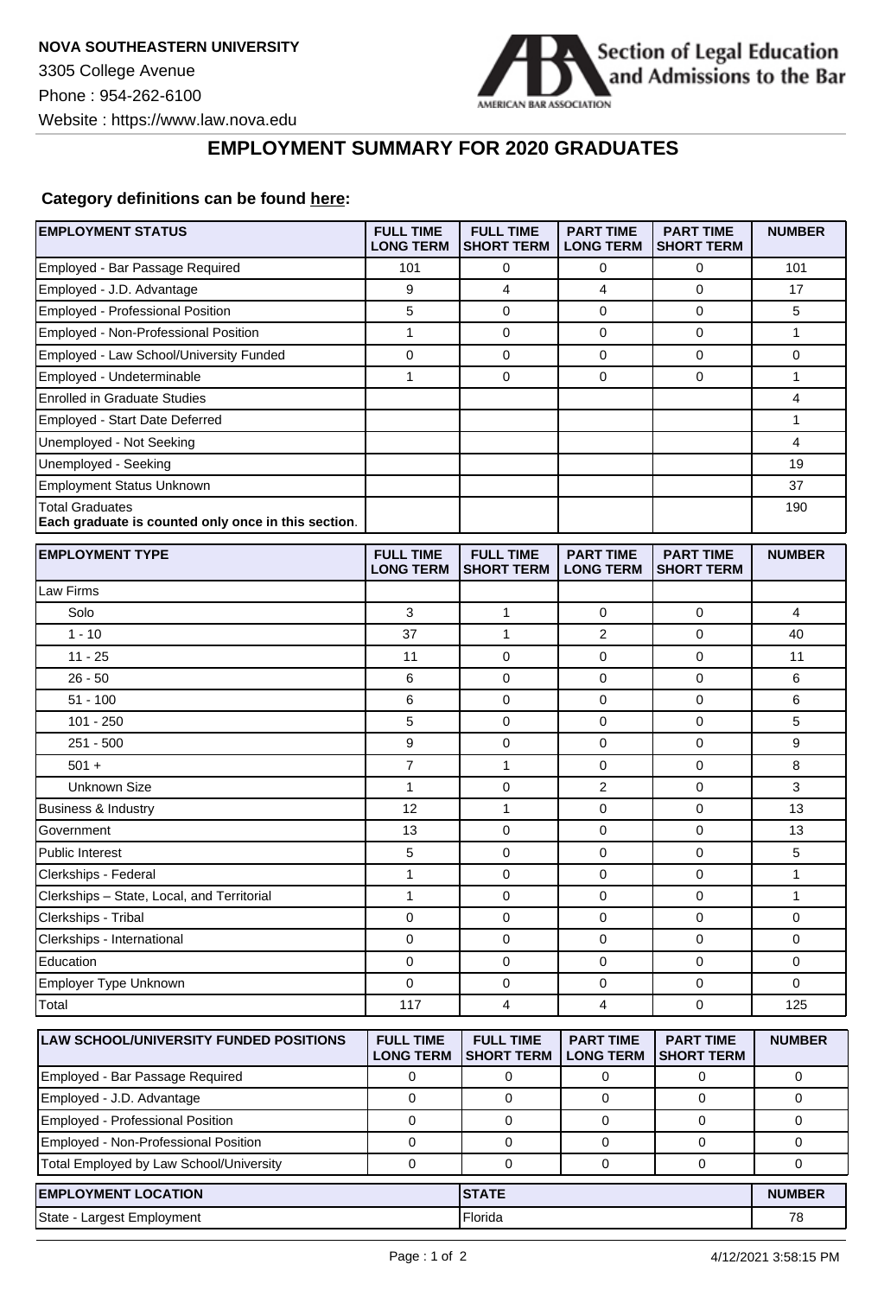

## **EMPLOYMENT SUMMARY FOR 2020 GRADUATES**

## **Category definitions can be found [here:](https://www.americanbar.org/content/dam/aba/administrative/legal_education_and_admissions_to_the_bar/Questionnaires/employment-protocol-class-of-2020.pdf)**

| <b>EMPLOYMENT STATUS</b>                                                      | <b>FULL TIME</b><br><b>LONG TERM</b> | <b>FULL TIME</b><br><b>SHORT TERM</b> | <b>PART TIME</b><br><b>LONG TERM</b> | <b>PART TIME</b><br><b>SHORT TERM</b> | <b>NUMBER</b> |
|-------------------------------------------------------------------------------|--------------------------------------|---------------------------------------|--------------------------------------|---------------------------------------|---------------|
| Employed - Bar Passage Required                                               | 101                                  | 0                                     | 0                                    | 0                                     | 101           |
| Employed - J.D. Advantage                                                     | 9                                    | 4                                     | 4                                    | $\mathbf 0$                           | 17            |
| <b>Employed - Professional Position</b>                                       | 5                                    | $\mathbf 0$                           | 0                                    | $\mathbf 0$                           | 5             |
| Employed - Non-Professional Position                                          | $\mathbf{1}$                         | 0                                     | 0                                    | 0                                     | $\mathbf{1}$  |
| Employed - Law School/University Funded                                       | $\pmb{0}$                            | 0                                     | $\pmb{0}$                            | $\pmb{0}$                             | 0             |
| Employed - Undeterminable                                                     | 1                                    | $\mathbf 0$                           | 0                                    | $\mathbf 0$                           | 1             |
| <b>Enrolled in Graduate Studies</b>                                           |                                      |                                       |                                      |                                       | 4             |
| Employed - Start Date Deferred                                                |                                      |                                       |                                      |                                       | 1             |
| Unemployed - Not Seeking                                                      |                                      |                                       |                                      |                                       | 4             |
| Unemployed - Seeking                                                          |                                      |                                       |                                      |                                       | 19            |
| <b>Employment Status Unknown</b>                                              |                                      |                                       |                                      |                                       | 37            |
| <b>Total Graduates</b><br>Each graduate is counted only once in this section. |                                      |                                       |                                      |                                       | 190           |
| <b>EMPLOYMENT TYPE</b>                                                        | <b>FULL TIME</b><br><b>LONG TERM</b> | <b>FULL TIME</b><br><b>SHORT TERM</b> | <b>PART TIME</b><br><b>LONG TERM</b> | <b>PART TIME</b><br><b>SHORT TERM</b> | <b>NUMBER</b> |
| Law Firms                                                                     |                                      |                                       |                                      |                                       |               |
| Solo                                                                          | 3                                    | 1                                     | 0                                    | 0                                     | 4             |
| $1 - 10$                                                                      | 37                                   | $\mathbf{1}$                          | 2                                    | $\mathbf 0$                           | 40            |
| $11 - 25$                                                                     | 11                                   | 0                                     | 0                                    | $\mathbf 0$                           | 11            |
| $26 - 50$                                                                     | 6                                    | 0                                     | 0                                    | $\mathbf 0$                           | 6             |
| $51 - 100$                                                                    | 6                                    | 0                                     | 0                                    | $\mathbf 0$                           | 6             |
| $101 - 250$                                                                   | 5                                    | 0                                     | $\mathbf 0$                          | $\mathbf 0$                           | 5             |
| $251 - 500$                                                                   | 9                                    | 0                                     | 0                                    | $\mathbf 0$                           | 9             |
| $501 +$                                                                       | 7                                    | $\mathbf{1}$                          | 0                                    | 0                                     | 8             |
| <b>Unknown Size</b>                                                           | $\mathbf{1}$                         | $\mathbf 0$                           | $\overline{2}$                       | $\mathbf 0$                           | 3             |
| <b>Business &amp; Industry</b>                                                | 12                                   | 1                                     | 0                                    | $\mathbf 0$                           | 13            |
| Government                                                                    | 13                                   | $\mathbf 0$                           | 0                                    | $\mathbf 0$                           | 13            |
| Public Interest                                                               | 5                                    | 0                                     | 0                                    | $\mathbf 0$                           | 5             |
| Clerkships - Federal                                                          | $\mathbf{1}$                         | 0                                     | 0                                    | $\mathbf 0$                           | $\mathbf{1}$  |
| Clerkships - State, Local, and Territorial                                    | $\mathbf{1}$                         | 0                                     | $\mathbf 0$                          | 0                                     | 1             |
| Clerkships - Tribal                                                           | 0                                    | 0                                     | 0                                    | $\mathbf 0$                           | 0             |
| Clerkships - International                                                    | 0                                    | 0                                     | 0                                    | $\mathbf 0$                           | 0             |
| Education                                                                     | 0                                    | 0                                     | 0                                    | 0                                     | 0             |
| Employer Type Unknown                                                         | 0                                    | $\mathbf 0$                           | $\mathbf 0$                          | $\mathbf 0$                           | 0             |
| Total                                                                         | 117                                  | 4                                     | 4                                    | $\mathbf 0$                           | 125           |
| LAW SCHOOL/UNIVERSITY FUNDED POSITIONS                                        | <b>FULL TIME</b><br><b>LONG TERM</b> | <b>FULL TIME</b><br><b>SHORT TERM</b> | <b>PART TIME</b><br><b>LONG TERM</b> | <b>PART TIME</b><br><b>SHORT TERM</b> | <b>NUMBER</b> |
| Employed - Bar Passage Required                                               | 0                                    | 0                                     | 0                                    | 0                                     | 0             |
| Employed - J.D. Advantage                                                     | $\mathbf 0$                          | $\mathbf 0$                           | $\mathbf 0$                          | $\mathbf 0$                           | 0             |
| <b>Employed - Professional Position</b>                                       | $\mathbf 0$                          | $\mathbf 0$                           | 0                                    | $\mathbf 0$                           | 0             |
| Employed - Non-Professional Position                                          | 0                                    | $\mathbf 0$                           | 0                                    | 0                                     | 0             |
| Total Employed by Law School/University                                       | 0                                    | 0                                     | 0                                    | 0                                     | 0             |
| <b>EMPLOYMENT LOCATION</b>                                                    |                                      | <b>STATE</b>                          |                                      |                                       | <b>NUMBER</b> |
| State - Largest Employment                                                    |                                      | Florida                               |                                      |                                       | 78            |
|                                                                               |                                      |                                       |                                      |                                       |               |